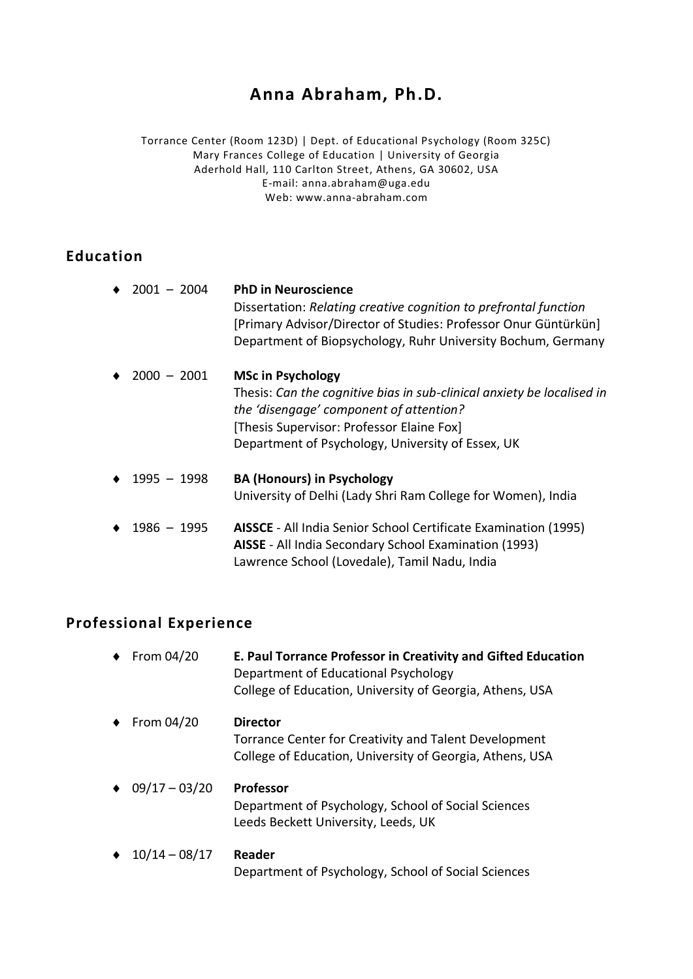# **Anna Abraham, Ph.D.**

Torrance Center (Room 123D) | Dept. of Educational Psychology (Room 325C) Mary Frances College of Education | University of Georgia Aderhold Hall, 110 Carlton Street, Athens, GA 30602, USA E-mail: anna.abraham@uga.edu Web: www.anna-abraham.com

### **Education**

| $\bullet$ | $2001 - 2004$ | <b>PhD in Neuroscience</b><br>Dissertation: Relating creative cognition to prefrontal function<br>[Primary Advisor/Director of Studies: Professor Onur Güntürkün]<br>Department of Biopsychology, Ruhr University Bochum, Germany               |
|-----------|---------------|-------------------------------------------------------------------------------------------------------------------------------------------------------------------------------------------------------------------------------------------------|
| $\bullet$ | $2000 - 2001$ | <b>MSc in Psychology</b><br>Thesis: Can the cognitive bias in sub-clinical anxiety be localised in<br>the 'disengage' component of attention?<br>[Thesis Supervisor: Professor Elaine Fox]<br>Department of Psychology, University of Essex, UK |
| ٠         | $1995 - 1998$ | <b>BA (Honours) in Psychology</b><br>University of Delhi (Lady Shri Ram College for Women), India                                                                                                                                               |
| $\bullet$ | $1986 - 1995$ | AISSCE - All India Senior School Certificate Examination (1995)<br>AISSE - All India Secondary School Examination (1993)<br>Lawrence School (Lovedale), Tamil Nadu, India                                                                       |

## **Professional Experience**

|           | $\div$ From 04/20             | E. Paul Torrance Professor in Creativity and Gifted Education<br>Department of Educational Psychology<br>College of Education, University of Georgia, Athens, USA |
|-----------|-------------------------------|-------------------------------------------------------------------------------------------------------------------------------------------------------------------|
| $\bullet$ | From 04/20                    | <b>Director</b><br>Torrance Center for Creativity and Talent Development<br>College of Education, University of Georgia, Athens, USA                              |
|           | $\triangleleft$ 09/17 - 03/20 | <b>Professor</b><br>Department of Psychology, School of Social Sciences<br>Leeds Beckett University, Leeds, UK                                                    |
|           | $\div$ 10/14 - 08/17          | Reader<br>Department of Psychology, School of Social Sciences                                                                                                     |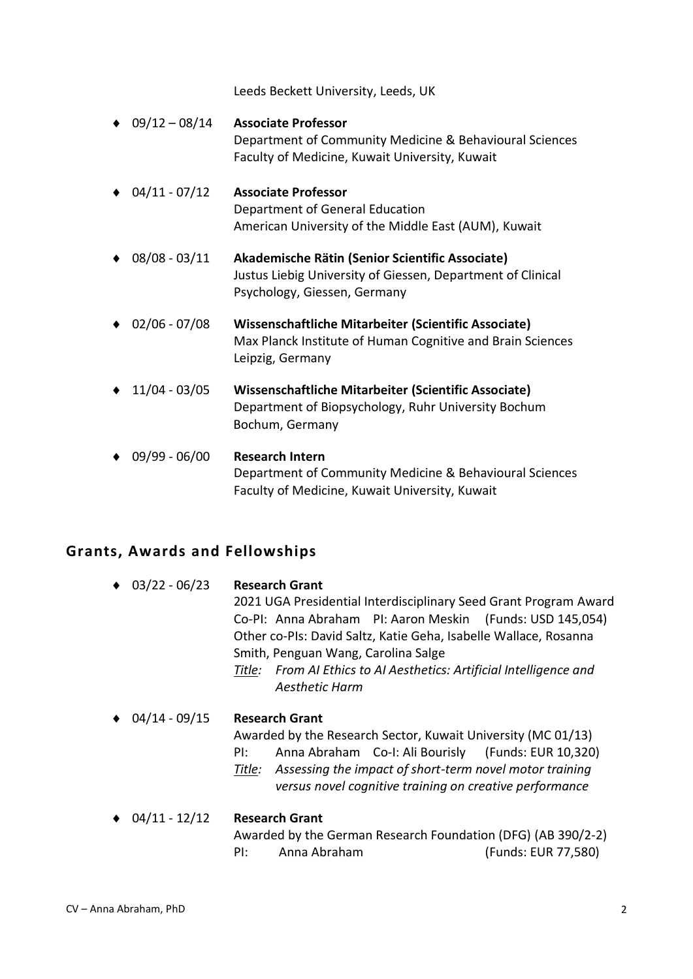Leeds Beckett University, Leeds, UK

| $09/12 - 08/14$ | <b>Associate Professor</b><br>Department of Community Medicine & Behavioural Sciences<br>Faculty of Medicine, Kuwait University, Kuwait        |
|-----------------|------------------------------------------------------------------------------------------------------------------------------------------------|
| $04/11 - 07/12$ | <b>Associate Professor</b><br>Department of General Education<br>American University of the Middle East (AUM), Kuwait                          |
| $08/08 - 03/11$ | Akademische Rätin (Senior Scientific Associate)<br>Justus Liebig University of Giessen, Department of Clinical<br>Psychology, Giessen, Germany |
| $02/06 - 07/08$ | Wissenschaftliche Mitarbeiter (Scientific Associate)<br>Max Planck Institute of Human Cognitive and Brain Sciences<br>Leipzig, Germany         |
| $11/04 - 03/05$ | Wissenschaftliche Mitarbeiter (Scientific Associate)<br>Department of Biopsychology, Ruhr University Bochum<br>Bochum, Germany                 |
| 09/99 - 06/00   | <b>Research Intern</b><br>Department of Community Medicine & Behavioural Sciences<br>Faculty of Medicine, Kuwait University, Kuwait            |

# **Grants, Awards and Fellowships**

| $03/22 - 06/23$ | <b>Research Grant</b><br>2021 UGA Presidential Interdisciplinary Seed Grant Program Award<br>Co-PI: Anna Abraham PI: Aaron Meskin (Funds: USD 145,054)<br>Other co-PIs: David Saltz, Katie Geha, Isabelle Wallace, Rosanna<br>Smith, Penguan Wang, Carolina Salge<br>Title: From AI Ethics to AI Aesthetics: Artificial Intelligence and<br><b>Aesthetic Harm</b> |
|-----------------|-------------------------------------------------------------------------------------------------------------------------------------------------------------------------------------------------------------------------------------------------------------------------------------------------------------------------------------------------------------------|
| 04/14 - 09/15   | <b>Research Grant</b><br>Awarded by the Research Sector, Kuwait University (MC 01/13)<br>Pl:<br>Anna Abraham Co-I: Ali Bourisly (Funds: EUR 10,320)<br>Assessing the impact of short-term novel motor training<br>Title:<br>versus novel cognitive training on creative performance                                                                               |
| 04/11 - 12/12   | <b>Research Grant</b><br>Awarded by the German Research Foundation (DFG) (AB 390/2-2)<br>Anna Abraham<br>(Funds: EUR 77,580)<br>PI:                                                                                                                                                                                                                               |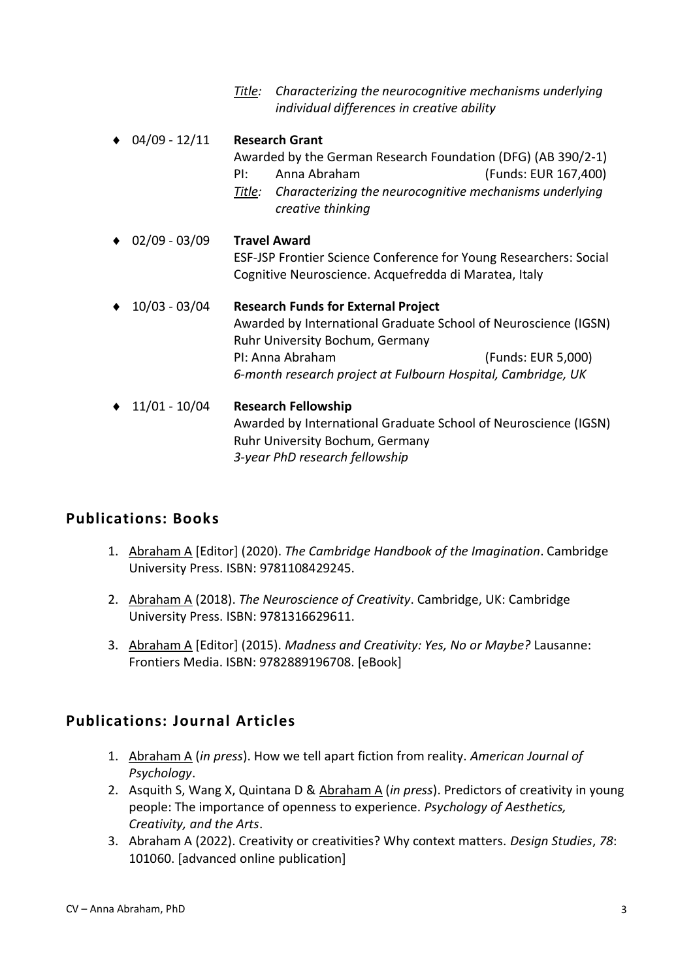|                 | Characterizing the neurocognitive mechanisms underlying<br>Title:<br>individual differences in creative ability                                                                                                                                            |
|-----------------|------------------------------------------------------------------------------------------------------------------------------------------------------------------------------------------------------------------------------------------------------------|
| $04/09 - 12/11$ | <b>Research Grant</b><br>Awarded by the German Research Foundation (DFG) (AB 390/2-1)<br>Anna Abraham<br>PI:<br>(Funds: EUR 167,400)<br>Characterizing the neurocognitive mechanisms underlying<br><u>Title:</u><br>creative thinking                      |
| $02/09 - 03/09$ | <b>Travel Award</b><br>ESF-JSP Frontier Science Conference for Young Researchers: Social<br>Cognitive Neuroscience. Acquefredda di Maratea, Italy                                                                                                          |
| $10/03 - 03/04$ | <b>Research Funds for External Project</b><br>Awarded by International Graduate School of Neuroscience (IGSN)<br>Ruhr University Bochum, Germany<br>PI: Anna Abraham<br>(Funds: EUR 5,000)<br>6-month research project at Fulbourn Hospital, Cambridge, UK |
| $11/01 - 10/04$ | <b>Research Fellowship</b><br>Awarded by International Graduate School of Neuroscience (IGSN)<br>Ruhr University Bochum, Germany<br>3-year PhD research fellowship                                                                                         |

#### **Publications: Books**

- 1. Abraham A [Editor] (2020). *The Cambridge Handbook of the Imagination*. Cambridge University Press. ISBN: 9781108429245.
- 2. Abraham A (2018). *The Neuroscience of Creativity*. Cambridge, UK: Cambridge University Press. ISBN: 9781316629611.
- 3. Abraham A [Editor] (2015). *Madness and Creativity: Yes, No or Maybe?* Lausanne: Frontiers Media. ISBN: 9782889196708. [eBook]

## **Publications: Journal Articles**

- 1. Abraham A (*in press*). How we tell apart fiction from reality. *American Journal of Psychology*.
- 2. Asquith S, Wang X, Quintana D & Abraham A (*in press*). Predictors of creativity in young people: The importance of openness to experience. *Psychology of Aesthetics, Creativity, and the Arts*.
- 3. Abraham A (2022). Creativity or creativities? Why context matters. *Design Studies*, *78*: 101060. [advanced online publication]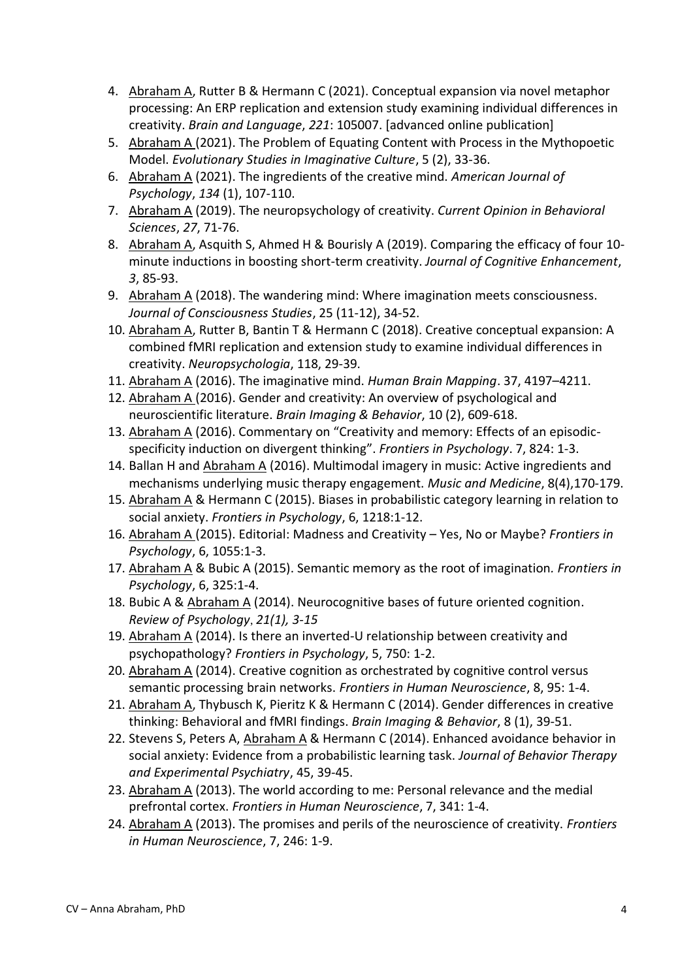- 4. Abraham A, Rutter B & Hermann C (2021). Conceptual expansion via novel metaphor processing: An ERP replication and extension study examining individual differences in creativity. *Brain and Language*, *221*: 105007. [advanced online publication]
- 5. Abraham A (2021). The Problem of Equating Content with Process in the Mythopoetic Model. *Evolutionary Studies in Imaginative Culture*, 5 (2), 33-36.
- 6. Abraham A (2021). The ingredients of the creative mind. *American Journal of Psychology*, *134* (1), 107-110.
- 7. Abraham A (2019). The neuropsychology of creativity. *Current Opinion in Behavioral Sciences*, *27*, 71-76.
- 8. Abraham A, Asquith S, Ahmed H & Bourisly A (2019). Comparing the efficacy of four 10 minute inductions in boosting short-term creativity. *Journal of Cognitive Enhancement*, *3*, 85-93.
- 9. Abraham A (2018). The wandering mind: Where imagination meets consciousness. *Journal of Consciousness Studies*, 25 (11-12), 34-52.
- 10. Abraham A, Rutter B, Bantin T & Hermann C (2018). Creative conceptual expansion: A combined fMRI replication and extension study to examine individual differences in creativity. *Neuropsychologia*, 118, 29-39.
- 11. Abraham A (2016). The imaginative mind. *Human Brain Mapping*. 37, 4197–4211.
- 12. Abraham A (2016). Gender and creativity: An overview of psychological and neuroscientific literature. *Brain Imaging & Behavior*, 10 (2), 609-618.
- 13. Abraham A (2016). Commentary on "Creativity and memory: Effects of an episodicspecificity induction on divergent thinking". *Frontiers in Psychology*. 7, 824: 1-3.
- 14. Ballan H and Abraham A (2016). Multimodal imagery in music: Active ingredients and mechanisms underlying music therapy engagement. *Music and Medicine*, 8(4),170-179.
- 15. Abraham A & Hermann C (2015). Biases in probabilistic category learning in relation to social anxiety. *Frontiers in Psychology*, 6, 1218:1-12.
- 16. Abraham A (2015). Editorial: Madness and Creativity Yes, No or Maybe? *Frontiers in Psychology*, 6, 1055:1-3.
- 17. Abraham A & Bubic A (2015). Semantic memory as the root of imagination*. Frontiers in Psychology*, 6, 325:1-4.
- 18. Bubic A & Abraham A (2014). Neurocognitive bases of future oriented cognition. *Review of Psychology*, *21(1), 3-15*
- 19. Abraham A (2014). Is there an inverted-U relationship between creativity and psychopathology? *Frontiers in Psychology*, 5, 750: 1-2.
- 20. Abraham A (2014). Creative cognition as orchestrated by cognitive control versus semantic processing brain networks. *Frontiers in Human Neuroscience*, 8, 95: 1-4.
- 21. Abraham A, Thybusch K, Pieritz K & Hermann C (2014). Gender differences in creative thinking: Behavioral and fMRI findings. *Brain Imaging & Behavior*, 8 (1), 39-51.
- 22. Stevens S, Peters A, Abraham A & Hermann C (2014). Enhanced avoidance behavior in social anxiety: Evidence from a probabilistic learning task. *Journal of Behavior Therapy and Experimental Psychiatry*, 45, 39-45.
- 23. Abraham A (2013). The world according to me: Personal relevance and the medial prefrontal cortex. *Frontiers in Human Neuroscience*, 7, 341: 1-4.
- 24. Abraham A (2013). The promises and perils of the neuroscience of creativity. *Frontiers in Human Neuroscience*, 7, 246: 1-9.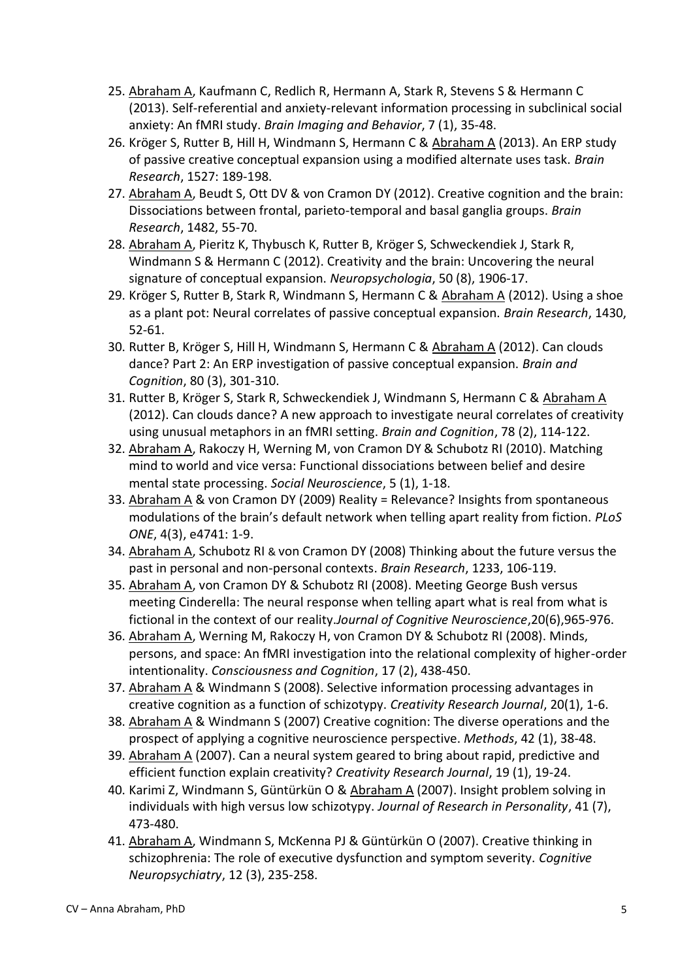- 25. Abraham A, Kaufmann C, Redlich R, Hermann A, Stark R, Stevens S & Hermann C (2013). Self-referential and anxiety-relevant information processing in subclinical social anxiety: An fMRI study. *Brain Imaging and Behavior*, 7 (1), 35-48.
- 26. Kröger S, Rutter B, Hill H, Windmann S, Hermann C & Abraham A (2013). An ERP study of passive creative conceptual expansion using a modified alternate uses task. *Brain Research*, 1527: 189-198.
- 27. Abraham A, Beudt S, Ott DV & von Cramon DY (2012). Creative cognition and the brain: Dissociations between frontal, parieto-temporal and basal ganglia groups. *Brain Research*, 1482, 55-70.
- 28. Abraham A, Pieritz K, Thybusch K, Rutter B, Kröger S, Schweckendiek J, Stark R, Windmann S & Hermann C (2012). Creativity and the brain: Uncovering the neural signature of conceptual expansion. *Neuropsychologia*, 50 (8), 1906-17.
- 29. Kröger S, Rutter B, Stark R, Windmann S, Hermann C & Abraham A (2012). Using a shoe as a plant pot: Neural correlates of passive conceptual expansion. *Brain Research*, 1430, 52-61.
- 30. Rutter B, Kröger S, Hill H, Windmann S, Hermann C & Abraham A (2012). Can clouds dance? Part 2: An ERP investigation of passive conceptual expansion. *Brain and Cognition*, 80 (3), 301-310.
- 31. Rutter B, Kröger S, Stark R, Schweckendiek J, Windmann S, Hermann C & Abraham A (2012). Can clouds dance? A new approach to investigate neural correlates of creativity using unusual metaphors in an fMRI setting. *Brain and Cognition*, 78 (2), 114-122.
- 32. Abraham A, Rakoczy H, Werning M, von Cramon DY & Schubotz RI (2010). Matching mind to world and vice versa: Functional dissociations between belief and desire mental state processing. *Social Neuroscience*, 5 (1), 1-18.
- 33. Abraham A & von Cramon DY (2009) Reality = Relevance? Insights from spontaneous modulations of the brain's default network when telling apart reality from fiction. *PLoS ONE*, 4(3), e4741: 1-9.
- 34. Abraham A, Schubotz RI & von Cramon DY (2008) Thinking about the future versus the past in personal and non-personal contexts. *Brain Research*, 1233, 106-119.
- 35. Abraham A, von Cramon DY & Schubotz RI (2008). Meeting George Bush versus meeting Cinderella: The neural response when telling apart what is real from what is fictional in the context of our reality.*Journal of Cognitive Neuroscience*,20(6),965-976.
- 36. Abraham A, Werning M, Rakoczy H, von Cramon DY & Schubotz RI (2008). Minds, persons, and space: An fMRI investigation into the relational complexity of higher-order intentionality. *Consciousness and Cognition*, 17 (2), 438-450.
- 37. Abraham A & Windmann S (2008). Selective information processing advantages in creative cognition as a function of schizotypy. *Creativity Research Journal*, 20(1), 1-6.
- 38. Abraham A & Windmann S (2007) Creative cognition: The diverse operations and the prospect of applying a cognitive neuroscience perspective. *Methods*, 42 (1), 38-48.
- 39. Abraham A (2007). Can a neural system geared to bring about rapid, predictive and efficient function explain creativity? *Creativity Research Journal*, 19 (1), 19-24.
- 40. Karimi Z, Windmann S, Güntürkün O & Abraham A (2007). Insight problem solving in individuals with high versus low schizotypy. *Journal of Research in Personality*, 41 (7), 473-480.
- 41. Abraham A, Windmann S, McKenna PJ & Güntürkün O (2007). Creative thinking in schizophrenia: The role of executive dysfunction and symptom severity. *Cognitive Neuropsychiatry*, 12 (3), 235-258.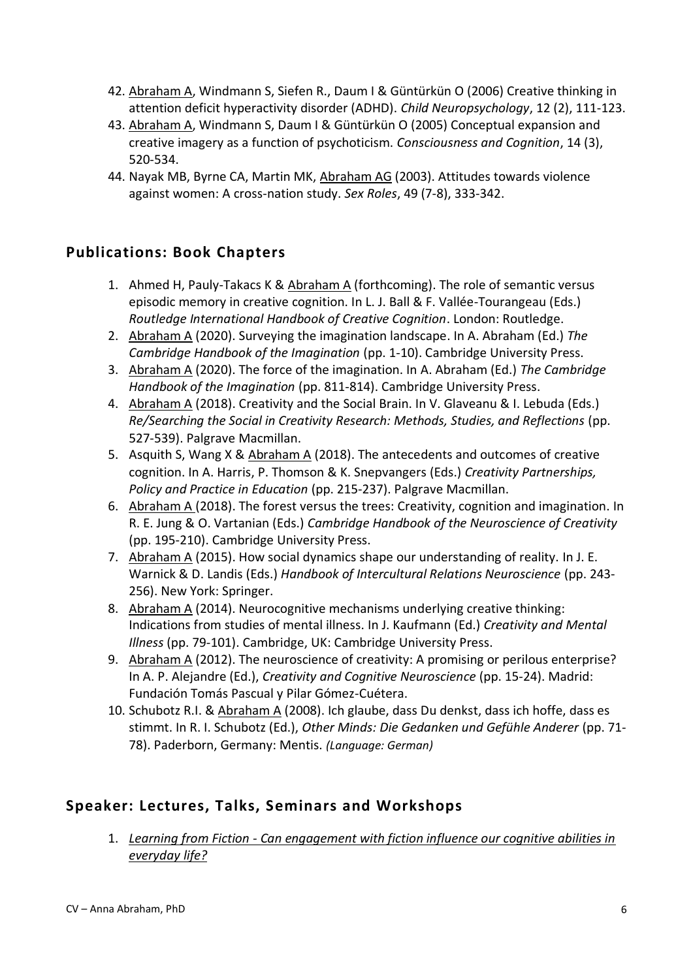- 42. Abraham A, Windmann S, Siefen R., Daum I & Güntürkün O (2006) Creative thinking in attention deficit hyperactivity disorder (ADHD). *Child Neuropsychology*, 12 (2), 111-123.
- 43. Abraham A, Windmann S, Daum I & Güntürkün O (2005) Conceptual expansion and creative imagery as a function of psychoticism. *Consciousness and Cognition*, 14 (3), 520-534.
- 44. Nayak MB, Byrne CA, Martin MK, Abraham AG (2003). Attitudes towards violence against women: A cross-nation study. *Sex Roles*, 49 (7-8), 333-342.

## **Publications: Book Chapters**

- 1. Ahmed H, Pauly-Takacs K & Abraham A (forthcoming). The role of semantic versus episodic memory in creative cognition. In L. J. Ball & F. Vallée-Tourangeau (Eds.) *Routledge International Handbook of Creative Cognition*. London: Routledge.
- 2. Abraham A (2020). Surveying the imagination landscape. In A. Abraham (Ed.) *The Cambridge Handbook of the Imagination* (pp. 1-10). Cambridge University Press.
- 3. Abraham A (2020). The force of the imagination. In A. Abraham (Ed.) *The Cambridge Handbook of the Imagination* (pp. 811-814). Cambridge University Press.
- 4. Abraham A (2018). Creativity and the Social Brain. In V. Glaveanu & I. Lebuda (Eds.) *Re/Searching the Social in Creativity Research: Methods, Studies, and Reflections* (pp. 527-539). Palgrave Macmillan.
- 5. Asquith S, Wang X & Abraham A (2018). The antecedents and outcomes of creative cognition. In A. Harris, P. Thomson & K. Snepvangers (Eds.) *Creativity Partnerships, Policy and Practice in Education* (pp. 215-237). Palgrave Macmillan.
- 6. Abraham A (2018). The forest versus the trees: Creativity, cognition and imagination. In R. E. Jung & O. Vartanian (Eds.) *Cambridge Handbook of the Neuroscience of Creativity* (pp. 195-210). Cambridge University Press.
- 7. Abraham A (2015). How social dynamics shape our understanding of reality. In J. E. Warnick & D. Landis (Eds.) *Handbook of Intercultural Relations Neuroscience* (pp. 243- 256). New York: Springer.
- 8. Abraham A (2014). Neurocognitive mechanisms underlying creative thinking: Indications from studies of mental illness. In J. Kaufmann (Ed.) *Creativity and Mental Illness* (pp. 79-101). Cambridge, UK: Cambridge University Press.
- 9. Abraham A (2012). The neuroscience of creativity: A promising or perilous enterprise? In A. P. Alejandre (Ed.), *Creativity and Cognitive Neuroscience* (pp. 15-24). Madrid: Fundación Tomás Pascual y Pilar Gómez-Cuétera.
- 10. Schubotz R.I. & Abraham A (2008). Ich glaube, dass Du denkst, dass ich hoffe, dass es stimmt. In R. I. Schubotz (Ed.), *Other Minds: Die Gedanken und Gefühle Anderer* (pp. 71- 78). Paderborn, Germany: Mentis. *(Language: German)*

## **Speaker: Lectures, Talks, Seminars and Workshops**

1. *Learning from Fiction - Can engagement with fiction influence our cognitive abilities in everyday life?*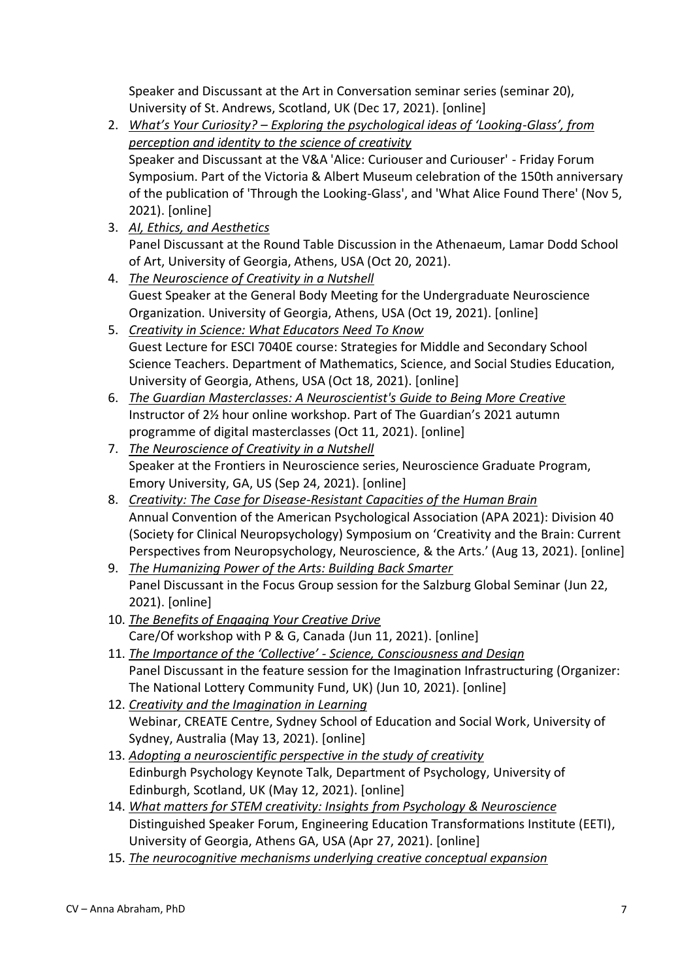Speaker and Discussant at the Art in Conversation seminar series (seminar 20), University of St. Andrews, Scotland, UK (Dec 17, 2021). [online]

- 2. *What's Your Curiosity? – Exploring the psychological ideas of 'Looking-Glass', from perception and identity to the science of creativity* Speaker and Discussant at the V&A 'Alice: Curiouser and Curiouser' - Friday Forum Symposium. Part of the Victoria & Albert Museum celebration of the 150th anniversary of the publication of 'Through the Looking-Glass', and 'What Alice Found There' (Nov 5, 2021). [online]
- 3. *AI, Ethics, and Aesthetics* Panel Discussant at the Round Table Discussion in the Athenaeum, Lamar Dodd School of Art, University of Georgia, Athens, USA (Oct 20, 2021).
- 4. *The Neuroscience of Creativity in a Nutshell* Guest Speaker at the General Body Meeting for the Undergraduate Neuroscience Organization. University of Georgia, Athens, USA (Oct 19, 2021). [online]
- 5. *Creativity in Science: What Educators Need To Know* Guest Lecture for ESCI 7040E course: Strategies for Middle and Secondary School Science Teachers. Department of Mathematics, Science, and Social Studies Education, University of Georgia, Athens, USA (Oct 18, 2021). [online]
- 6. *The Guardian Masterclasses: A Neuroscientist's Guide to Being More Creative* Instructor of 2½ hour online workshop. Part of The Guardian's 2021 autumn programme of digital masterclasses (Oct 11, 2021). [online]
- 7. *The Neuroscience of Creativity in a Nutshell* Speaker at the Frontiers in Neuroscience series, Neuroscience Graduate Program, Emory University, GA, US (Sep 24, 2021). [online]
- 8. *Creativity: The Case for Disease-Resistant Capacities of the Human Brain* Annual Convention of the American Psychological Association (APA 2021): Division 40 (Society for Clinical Neuropsychology) Symposium on 'Creativity and the Brain: Current Perspectives from Neuropsychology, Neuroscience, & the Arts.' (Aug 13, 2021). [online]
- 9. *The Humanizing Power of the Arts: Building Back Smarter* Panel Discussant in the Focus Group session for the Salzburg Global Seminar (Jun 22, 2021). [online]
- 10. *The Benefits of Engaging Your Creative Drive* Care/Of workshop with P & G, Canada (Jun 11, 2021). [online]
- 11. *The Importance of the 'Collective' - Science, Consciousness and Design*  Panel Discussant in the feature session for the Imagination Infrastructuring (Organizer: The National Lottery Community Fund, UK) (Jun 10, 2021). [online]
- 12. *Creativity and the Imagination in Learning* Webinar, CREATE Centre, Sydney School of Education and Social Work, University of Sydney, Australia (May 13, 2021). [online]
- 13. *Adopting a neuroscientific perspective in the study of creativity* Edinburgh Psychology Keynote Talk, Department of Psychology, University of Edinburgh, Scotland, UK (May 12, 2021). [online]
- 14. *What matters for STEM creativity: Insights from Psychology & Neuroscience* Distinguished Speaker Forum, Engineering Education Transformations Institute (EETI), University of Georgia, Athens GA, USA (Apr 27, 2021). [online]
- 15. *The neurocognitive mechanisms underlying creative conceptual expansion*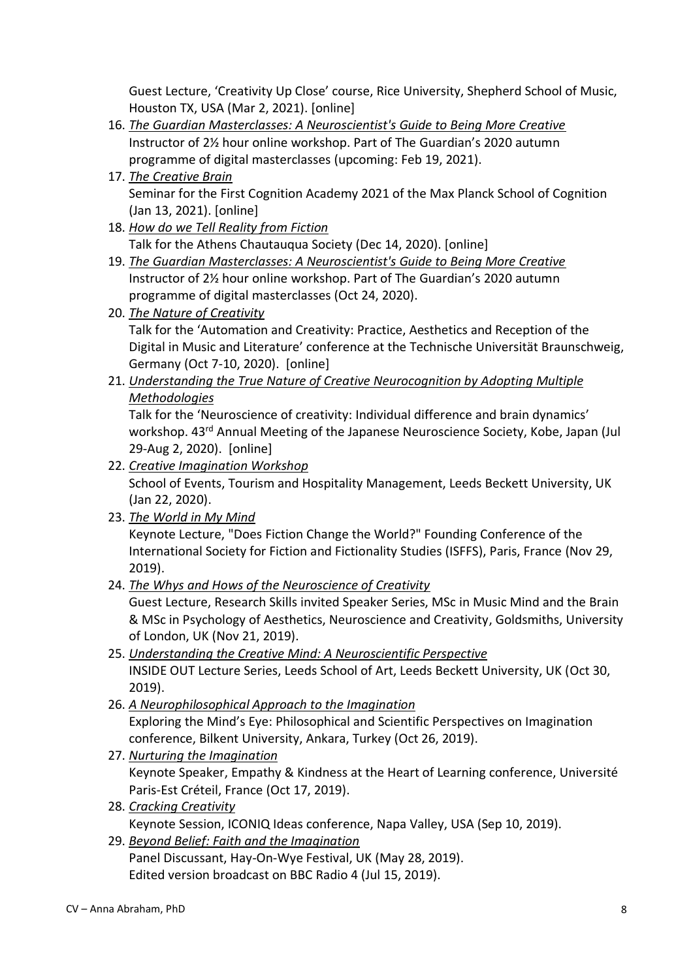Guest Lecture, 'Creativity Up Close' course, Rice University, Shepherd School of Music, Houston TX, USA (Mar 2, 2021). [online]

- 16. *The Guardian Masterclasses: A Neuroscientist's Guide to Being More Creative* Instructor of 2½ hour online workshop. Part of The Guardian's 2020 autumn programme of digital masterclasses (upcoming: Feb 19, 2021).
- 17. *The Creative Brain* Seminar for the First Cognition Academy 2021 of the Max Planck School of Cognition (Jan 13, 2021). [online]
- 18. *How do we Tell Reality from Fiction* Talk for the Athens Chautauqua Society (Dec 14, 2020). [online]
- 19. *The Guardian Masterclasses: A Neuroscientist's Guide to Being More Creative* Instructor of 2½ hour online workshop. Part of The Guardian's 2020 autumn programme of digital masterclasses (Oct 24, 2020).
- 20. *The Nature of Creativity*

Talk for the 'Automation and Creativity: Practice, Aesthetics and Reception of the Digital in Music and Literature' conference at the Technische Universität Braunschweig, Germany (Oct 7-10, 2020). [online]

21. *Understanding the True Nature of Creative Neurocognition by Adopting Multiple Methodologies*

Talk for the 'Neuroscience of creativity: Individual difference and brain dynamics' workshop. 43<sup>rd</sup> Annual Meeting of the Japanese Neuroscience Society, Kobe, Japan (Jul 29-Aug 2, 2020). [online]

- 22. *Creative Imagination Workshop* School of Events, Tourism and Hospitality Management, Leeds Beckett University, UK (Jan 22, 2020).
- 23. *The World in My Mind*

Keynote Lecture, "Does Fiction Change the World?" Founding Conference of the International Society for Fiction and Fictionality Studies (ISFFS), Paris, France (Nov 29, 2019).

24. *The Whys and Hows of the Neuroscience of Creativity*

Guest Lecture, Research Skills invited Speaker Series, MSc in Music Mind and the Brain & MSc in Psychology of Aesthetics, Neuroscience and Creativity, Goldsmiths, University of London, UK (Nov 21, 2019).

- 25. *Understanding the Creative Mind: A Neuroscientific Perspective* INSIDE OUT Lecture Series, Leeds School of Art, Leeds Beckett University, UK (Oct 30, 2019).
- 26. *A Neurophilosophical Approach to the Imagination* Exploring the Mind's Eye: Philosophical and Scientific Perspectives on Imagination conference, Bilkent University, Ankara, Turkey (Oct 26, 2019).
- 27. *Nurturing the Imagination* Keynote Speaker, Empathy & Kindness at the Heart of Learning conference, Université Paris-Est Créteil, France (Oct 17, 2019).
- 28. *Cracking Creativity* Keynote Session, ICONIQ Ideas conference, Napa Valley, USA (Sep 10, 2019).
- 29. *Beyond Belief: Faith and the Imagination* Panel Discussant, Hay-On-Wye Festival, UK (May 28, 2019). Edited version broadcast on BBC Radio 4 (Jul 15, 2019).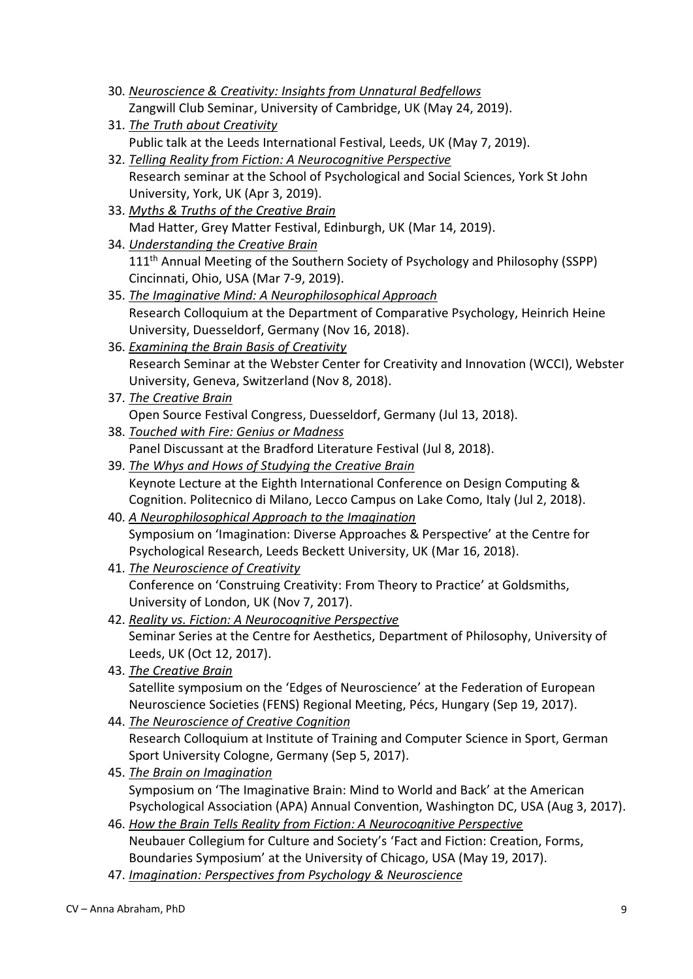- 30. *Neuroscience & Creativity: Insights from Unnatural Bedfellows* Zangwill Club Seminar, University of Cambridge, UK (May 24, 2019).
- 31. *The Truth about Creativity* Public talk at the Leeds International Festival, Leeds, UK (May 7, 2019).
- 32. *Telling Reality from Fiction: A Neurocognitive Perspective* Research seminar at the School of Psychological and Social Sciences, York St John University, York, UK (Apr 3, 2019).
- 33. *Myths & Truths of the Creative Brain* Mad Hatter, Grey Matter Festival, Edinburgh, UK (Mar 14, 2019).
- 34. *Understanding the Creative Brain* 111th Annual Meeting of the Southern Society of Psychology and Philosophy (SSPP) Cincinnati, Ohio, USA (Mar 7-9, 2019).
- 35. *The Imaginative Mind: A Neurophilosophical Approach* Research Colloquium at the Department of Comparative Psychology, Heinrich Heine University, Duesseldorf, Germany (Nov 16, 2018).
- 36. *Examining the Brain Basis of Creativity* Research Seminar at the Webster Center for Creativity and Innovation (WCCI), Webster University, Geneva, Switzerland (Nov 8, 2018).
- 37. *The Creative Brain* Open Source Festival Congress, Duesseldorf, Germany (Jul 13, 2018).
- 38. *Touched with Fire: Genius or Madness* Panel Discussant at the Bradford Literature Festival (Jul 8, 2018).
- 39. *The Whys and Hows of Studying the Creative Brain* Keynote Lecture at the Eighth International Conference on Design Computing & Cognition. Politecnico di Milano, Lecco Campus on Lake Como, Italy (Jul 2, 2018).
- 40. *A Neurophilosophical Approach to the Imagination* Symposium on 'Imagination: Diverse Approaches & Perspective' at the Centre for Psychological Research, Leeds Beckett University, UK (Mar 16, 2018).
- 41. *The Neuroscience of Creativity* Conference on 'Construing Creativity: From Theory to Practice' at Goldsmiths, University of London, UK (Nov 7, 2017).
- 42. *Reality vs. Fiction: A Neurocognitive Perspective* Seminar Series at the Centre for Aesthetics, Department of Philosophy, University of Leeds, UK (Oct 12, 2017).
- 43. *The Creative Brain* Satellite symposium on the 'Edges of Neuroscience' at the Federation of European Neuroscience Societies (FENS) Regional Meeting, Pécs, Hungary (Sep 19, 2017).
- 44. *The Neuroscience of Creative Cognition* Research Colloquium at Institute of Training and Computer Science in Sport, German Sport University Cologne, Germany (Sep 5, 2017).
- 45. *The Brain on Imagination* Symposium on 'The Imaginative Brain: Mind to World and Back' at the American Psychological Association (APA) Annual Convention, Washington DC, USA (Aug 3, 2017).
- 46. *How the Brain Tells Reality from Fiction: A Neurocognitive Perspective* Neubauer Collegium for Culture and Society's 'Fact and Fiction: Creation, Forms, Boundaries Symposium' at the University of Chicago, USA (May 19, 2017).
- 47. *Imagination: Perspectives from Psychology & Neuroscience*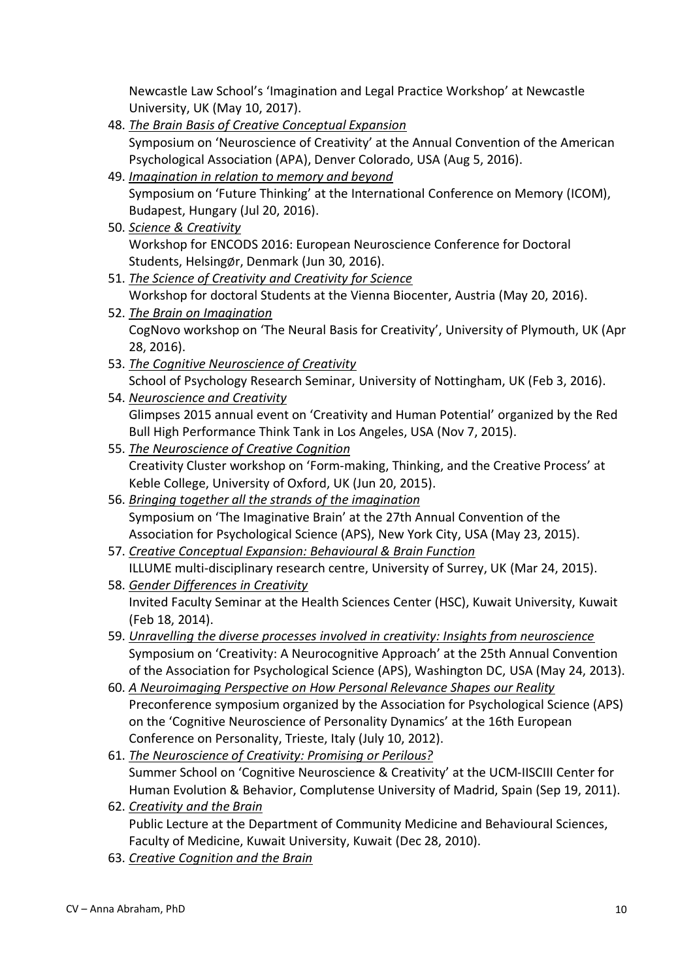Newcastle Law School's 'Imagination and Legal Practice Workshop' at Newcastle University, UK (May 10, 2017).

- 48. *The Brain Basis of Creative Conceptual Expansion* Symposium on 'Neuroscience of Creativity' at the Annual Convention of the American Psychological Association (APA), Denver Colorado, USA (Aug 5, 2016).
- 49. *Imagination in relation to memory and beyond* Symposium on 'Future Thinking' at the International Conference on Memory (ICOM), Budapest, Hungary (Jul 20, 2016).
- 50. *Science & Creativity*

Workshop for ENCODS 2016: European Neuroscience Conference for Doctoral Students, HelsingØr, Denmark (Jun 30, 2016).

- 51. *The Science of Creativity and Creativity for Science*  Workshop for doctoral Students at the Vienna Biocenter, Austria (May 20, 2016).
- 52. *The Brain on Imagination* CogNovo workshop on 'The Neural Basis for Creativity', University of Plymouth, UK (Apr 28, 2016).
- 53. *The Cognitive Neuroscience of Creativity* School of Psychology Research Seminar, University of Nottingham, UK (Feb 3, 2016).
- 54. *Neuroscience and Creativity* Glimpses 2015 annual event on 'Creativity and Human Potential' organized by the Red Bull High Performance Think Tank in Los Angeles, USA (Nov 7, 2015).
- 55. *The Neuroscience of Creative Cognition* Creativity Cluster workshop on 'Form-making, Thinking, and the Creative Process' at Keble College, University of Oxford, UK (Jun 20, 2015).
- 56. *Bringing together all the strands of the imagination* Symposium on 'The Imaginative Brain' at the 27th Annual Convention of the Association for Psychological Science (APS), New York City, USA (May 23, 2015).
- 57. *Creative Conceptual Expansion: Behavioural & Brain Function* ILLUME multi-disciplinary research centre, University of Surrey, UK (Mar 24, 2015).
- 58. *Gender Differences in Creativity* Invited Faculty Seminar at the Health Sciences Center (HSC), Kuwait University, Kuwait (Feb 18, 2014).
- 59. *Unravelling the diverse processes involved in creativity: Insights from neuroscience* Symposium on 'Creativity: A Neurocognitive Approach' at the 25th Annual Convention of the Association for Psychological Science (APS), Washington DC, USA (May 24, 2013).
- 60. *A Neuroimaging Perspective on How Personal Relevance Shapes our Reality* Preconference symposium organized by the Association for Psychological Science (APS) on the 'Cognitive Neuroscience of Personality Dynamics' at the 16th European Conference on Personality, Trieste, Italy (July 10, 2012).
- 61. *The Neuroscience of Creativity: Promising or Perilous?* Summer School on 'Cognitive Neuroscience & Creativity' at the UCM-IISCIII Center for Human Evolution & Behavior, Complutense University of Madrid, Spain (Sep 19, 2011).
- 62. *Creativity and the Brain* Public Lecture at the Department of Community Medicine and Behavioural Sciences, Faculty of Medicine, Kuwait University, Kuwait (Dec 28, 2010).
- 63. *Creative Cognition and the Brain*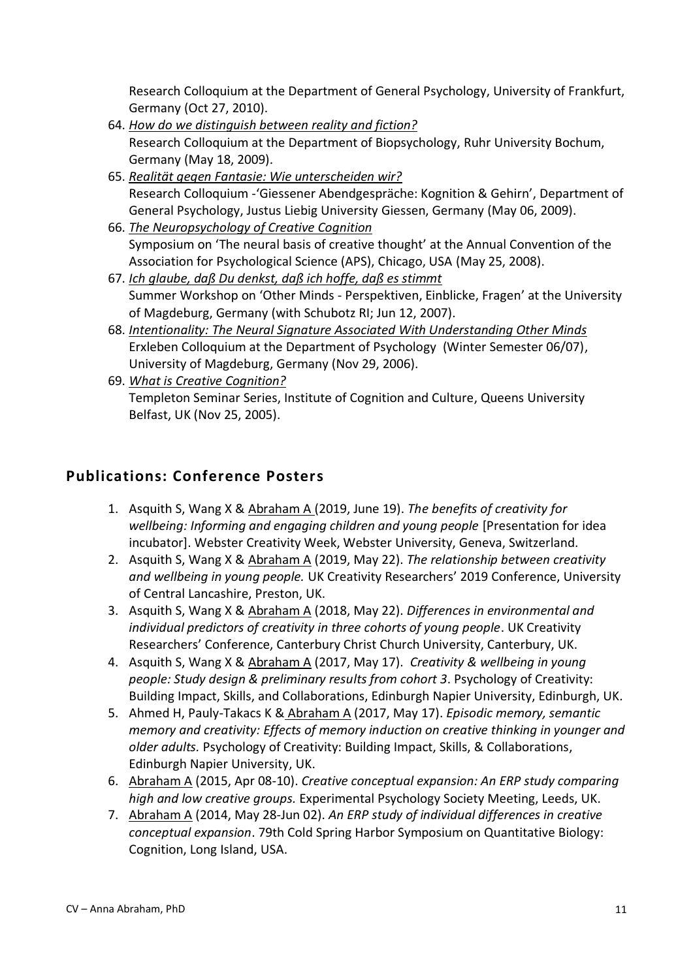Research Colloquium at the Department of General Psychology, University of Frankfurt, Germany (Oct 27, 2010).

- 64. *How do we distinguish between reality and fiction?* Research Colloquium at the Department of Biopsychology, Ruhr University Bochum, Germany (May 18, 2009).
- 65. *Realität gegen Fantasie: Wie unterscheiden wir?* Research Colloquium -'Giessener Abendgespräche: Kognition & Gehirn', Department of General Psychology, Justus Liebig University Giessen, Germany (May 06, 2009).
- 66. *The Neuropsychology of Creative Cognition* Symposium on 'The neural basis of creative thought' at the Annual Convention of the Association for Psychological Science (APS), Chicago, USA (May 25, 2008).
- 67. *Ich glaube, daß Du denkst, daß ich hoffe, daß es stimmt* Summer Workshop on 'Other Minds - Perspektiven, Einblicke, Fragen' at the University of Magdeburg, Germany (with Schubotz RI; Jun 12, 2007).
- 68. *Intentionality: The Neural Signature Associated With Understanding Other Minds* Erxleben Colloquium at the Department of Psychology (Winter Semester 06/07), University of Magdeburg, Germany (Nov 29, 2006).
- 69. *What is Creative Cognition?*  Templeton Seminar Series, Institute of Cognition and Culture, Queens University Belfast, UK (Nov 25, 2005).

## **Publications: Conference Posters**

- 1. Asquith S, Wang X & Abraham A (2019, June 19). *The benefits of creativity for wellbeing: Informing and engaging children and young people* [Presentation for idea incubator]. Webster Creativity Week, Webster University, Geneva, Switzerland.
- 2. Asquith S, Wang X & Abraham A (2019, May 22). *The relationship between creativity and wellbeing in young people.* UK Creativity Researchers' 2019 Conference, University of Central Lancashire, Preston, UK.
- 3. Asquith S, Wang X & Abraham A (2018, May 22). *Differences in environmental and individual predictors of creativity in three cohorts of young people*. UK Creativity Researchers' Conference, Canterbury Christ Church University, Canterbury, UK.
- 4. Asquith S, Wang X & Abraham A (2017, May 17). *Creativity & wellbeing in young people: Study design & preliminary results from cohort 3*. Psychology of Creativity: Building Impact, Skills, and Collaborations, Edinburgh Napier University, Edinburgh, UK.
- 5. Ahmed H, Pauly-Takacs K & Abraham A (2017, May 17). *Episodic memory, semantic memory and creativity: Effects of memory induction on creative thinking in younger and older adults.* Psychology of Creativity: Building Impact, Skills, & Collaborations, Edinburgh Napier University, UK.
- 6. Abraham A (2015, Apr 08-10). *Creative conceptual expansion: An ERP study comparing high and low creative groups.* Experimental Psychology Society Meeting, Leeds, UK.
- 7. Abraham A (2014, May 28-Jun 02). *An ERP study of individual differences in creative conceptual expansion*. 79th Cold Spring Harbor Symposium on Quantitative Biology: Cognition, Long Island, USA.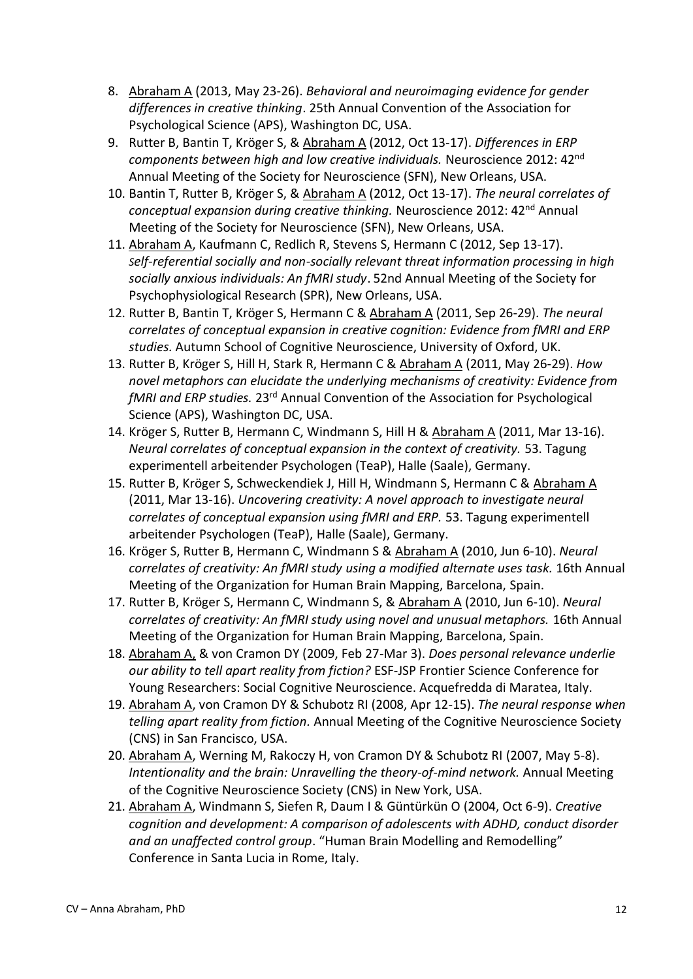- 8. Abraham A (2013, May 23-26). *Behavioral and neuroimaging evidence for gender differences in creative thinking*. 25th Annual Convention of the Association for Psychological Science (APS), Washington DC, USA.
- 9. Rutter B, Bantin T, Kröger S, & Abraham A (2012, Oct 13-17). *Differences in ERP components between high and low creative individuals.* Neuroscience 2012: 42nd Annual Meeting of the Society for Neuroscience (SFN), New Orleans, USA.
- 10. Bantin T, Rutter B, Kröger S, & Abraham A (2012, Oct 13-17). *The neural correlates of conceptual expansion during creative thinking.* Neuroscience 2012: 42nd Annual Meeting of the Society for Neuroscience (SFN), New Orleans, USA.
- 11. Abraham A, Kaufmann C, Redlich R, Stevens S, Hermann C (2012, Sep 13-17). *Self‐referential socially and non‐socially relevant threat information processing in high socially anxious individuals: An fMRI study*. 52nd Annual Meeting of the Society for Psychophysiological Research (SPR), New Orleans, USA.
- 12. Rutter B, Bantin T, Kröger S, Hermann C & Abraham A (2011, Sep 26-29). *The neural correlates of conceptual expansion in creative cognition: Evidence from fMRI and ERP studies.* Autumn School of Cognitive Neuroscience, University of Oxford, UK.
- 13. Rutter B, Kröger S, Hill H, Stark R, Hermann C & Abraham A (2011, May 26-29). *How novel metaphors can elucidate the underlying mechanisms of creativity: Evidence from fMRI and ERP studies.* 23rd Annual Convention of the Association for Psychological Science (APS), Washington DC, USA.
- 14. Kröger S, Rutter B, Hermann C, Windmann S, Hill H & Abraham A (2011, Mar 13-16). *Neural correlates of conceptual expansion in the context of creativity.* 53. Tagung experimentell arbeitender Psychologen (TeaP), Halle (Saale), Germany.
- 15. Rutter B, Kröger S, Schweckendiek J, Hill H, Windmann S, Hermann C & Abraham A (2011, Mar 13-16). *Uncovering creativity: A novel approach to investigate neural correlates of conceptual expansion using fMRI and ERP.* 53. Tagung experimentell arbeitender Psychologen (TeaP), Halle (Saale), Germany.
- 16. Kröger S, Rutter B, Hermann C, Windmann S & Abraham A (2010, Jun 6-10). *Neural correlates of creativity: An fMRI study using a modified alternate uses task.* 16th Annual Meeting of the Organization for Human Brain Mapping, Barcelona, Spain.
- 17. Rutter B, Kröger S, Hermann C, Windmann S, & Abraham A (2010, Jun 6-10). *Neural correlates of creativity: An fMRI study using novel and unusual metaphors.* 16th Annual Meeting of the Organization for Human Brain Mapping, Barcelona, Spain.
- 18. Abraham A, & von Cramon DY (2009, Feb 27-Mar 3). *Does personal relevance underlie our ability to tell apart reality from fiction?* ESF-JSP Frontier Science Conference for Young Researchers: Social Cognitive Neuroscience. Acquefredda di Maratea, Italy.
- 19. Abraham A, von Cramon DY & Schubotz RI (2008, Apr 12-15). *The neural response when telling apart reality from fiction.* Annual Meeting of the Cognitive Neuroscience Society (CNS) in San Francisco, USA.
- 20. Abraham A, Werning M, Rakoczy H, von Cramon DY & Schubotz RI (2007, May 5-8). *Intentionality and the brain: Unravelling the theory-of-mind network.* Annual Meeting of the Cognitive Neuroscience Society (CNS) in New York, USA.
- 21. Abraham A, Windmann S, Siefen R, Daum I & Güntürkün O (2004, Oct 6-9). *Creative cognition and development: A comparison of adolescents with ADHD, conduct disorder*  and an unaffected control group. "Human Brain Modelling and Remodelling" Conference in Santa Lucia in Rome, Italy.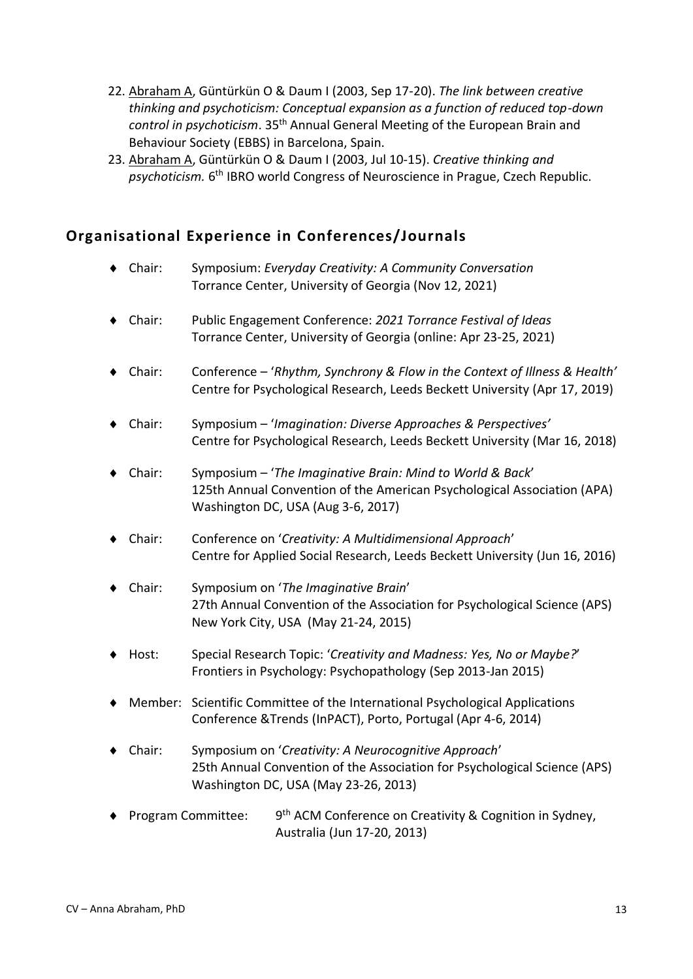- 22. Abraham A, Güntürkün O & Daum I (2003, Sep 17-20). *The link between creative thinking and psychoticism: Conceptual expansion as a function of reduced top-down control in psychoticism*. 35th Annual General Meeting of the European Brain and Behaviour Society (EBBS) in Barcelona, Spain.
- 23. Abraham A, Güntürkün O & Daum I (2003, Jul 10-15). *Creative thinking and*  psychoticism. 6<sup>th</sup> IBRO world Congress of Neuroscience in Prague, Czech Republic.

## **Organisational Experience in Conferences/Journals**

- Chair: Symposium: *Everyday Creativity: A Community Conversation* Torrance Center, University of Georgia (Nov 12, 2021)
- Chair: Public Engagement Conference: *2021 Torrance Festival of Ideas* Torrance Center, University of Georgia (online: Apr 23-25, 2021)
- Chair: Conference '*Rhythm, Synchrony & Flow in the Context of Illness & Health'* Centre for Psychological Research, Leeds Beckett University (Apr 17, 2019)
- Chair: Symposium '*Imagination: Diverse Approaches & Perspectives'* Centre for Psychological Research, Leeds Beckett University (Mar 16, 2018)
- Chair: Symposium '*The Imaginative Brain: Mind to World & Back*' 125th Annual Convention of the American Psychological Association (APA) Washington DC, USA (Aug 3-6, 2017)
- Chair: Conference on '*Creativity: A Multidimensional Approach*' Centre for Applied Social Research, Leeds Beckett University (Jun 16, 2016)
- Chair: Symposium on '*The Imaginative Brain*' 27th Annual Convention of the Association for Psychological Science (APS) New York City, USA (May 21-24, 2015)
- Host: Special Research Topic: '*Creativity and Madness: Yes, No or Maybe?*' Frontiers in Psychology: Psychopathology (Sep 2013-Jan 2015)
- Member: Scientific Committee of the International Psychological Applications Conference &Trends (InPACT), Porto, Portugal (Apr 4-6, 2014)
- Chair: Symposium on '*Creativity: A Neurocognitive Approach*' 25th Annual Convention of the Association for Psychological Science (APS) Washington DC, USA (May 23-26, 2013)
- ◆ Program Committee: 9<sup>th</sup> ACM Conference on Creativity & Cognition in Sydney, Australia (Jun 17-20, 2013)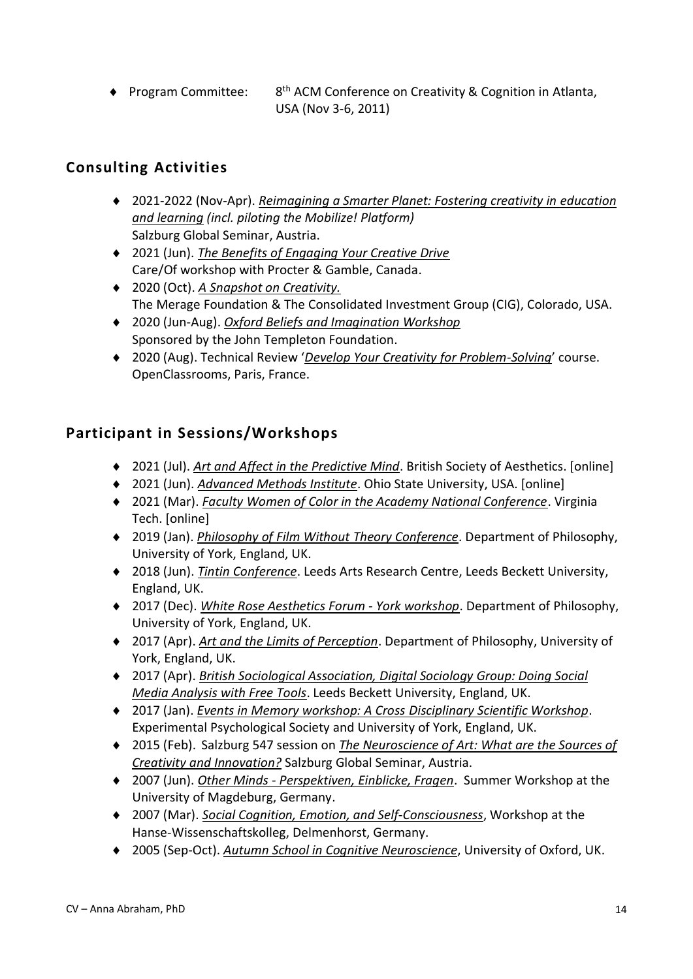◆ Program Committee: 8<sup>th</sup> ACM Conference on Creativity & Cognition in Atlanta, USA (Nov 3-6, 2011)

## **Consulting Activities**

- 2021-2022 (Nov-Apr). *Reimagining a Smarter Planet: Fostering creativity in education and learning (incl. piloting the Mobilize! Platform)* Salzburg Global Seminar, Austria.
- 2021 (Jun). *The Benefits of Engaging Your Creative Drive* Care/Of workshop with Procter & Gamble, Canada.
- 2020 (Oct). *A Snapshot on Creativity.* The Merage Foundation & The Consolidated Investment Group (CIG), Colorado, USA.
- 2020 (Jun-Aug). *Oxford Beliefs and Imagination Workshop* Sponsored by the John Templeton Foundation.
- 2020 (Aug). Technical Review '*Develop Your Creativity for Problem-Solving*' course. OpenClassrooms, Paris, France.

## **Participant in Sessions/Workshops**

- ◆ 2021 (Jul). *Art and Affect in the Predictive Mind*. British Society of Aesthetics. [online]
- 2021 (Jun). *Advanced Methods Institute*. Ohio State University, USA. [online]
- 2021 (Mar). *Faculty Women of Color in the Academy National Conference*. Virginia Tech. [online]
- 2019 (Jan). *Philosophy of Film Without Theory Conference*. Department of Philosophy, University of York, England, UK.
- 2018 (Jun). *Tintin Conference*. Leeds Arts Research Centre, Leeds Beckett University, England, UK.
- 2017 (Dec). *White Rose Aesthetics Forum - York workshop*. Department of Philosophy, University of York, England, UK.
- 2017 (Apr). *Art and the Limits of Perception*. Department of Philosophy, University of York, England, UK.
- 2017 (Apr). *British Sociological Association, Digital Sociology Group: Doing Social Media Analysis with Free Tools*. Leeds Beckett University, England, UK.
- 2017 (Jan). *Events in Memory workshop: A Cross Disciplinary Scientific Workshop*. Experimental Psychological Society and University of York, England, UK.
- 2015 (Feb). Salzburg 547 session on *The Neuroscience of Art: What are the Sources of Creativity and Innovation?* Salzburg Global Seminar, Austria.
- 2007 (Jun). *Other Minds - Perspektiven, Einblicke, Fragen*. Summer Workshop at the University of Magdeburg, Germany.
- 2007 (Mar). *Social Cognition, Emotion, and Self-Consciousness*, Workshop at the Hanse-Wissenschaftskolleg, Delmenhorst, Germany.
- 2005 (Sep-Oct). *Autumn School in Cognitive Neuroscience*, University of Oxford, UK.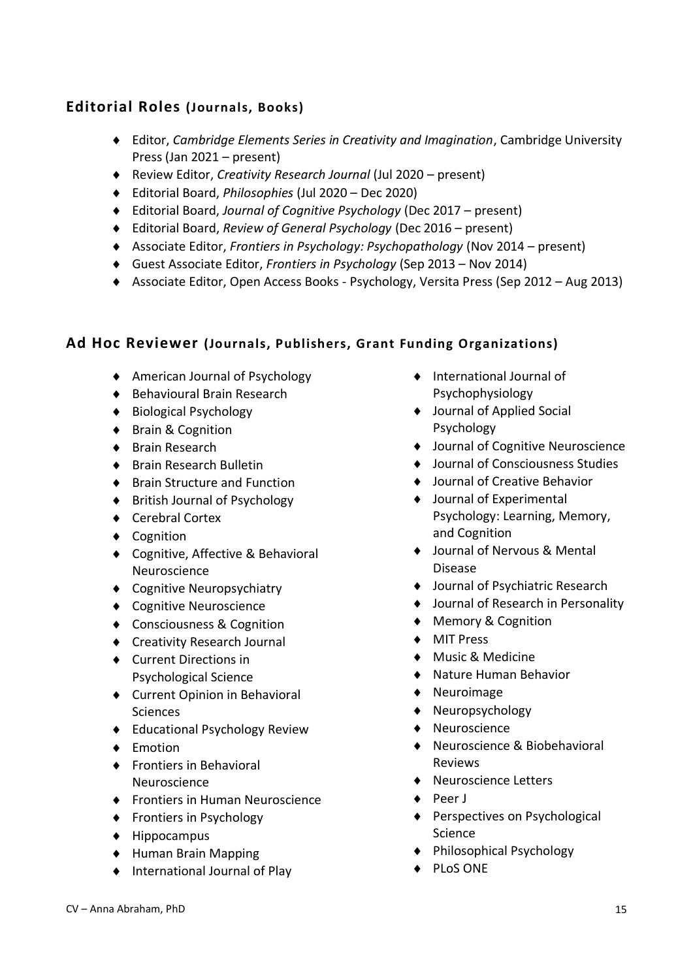## **Editorial Roles (Journals, Books)**

- Editor, *Cambridge Elements Series in Creativity and Imagination*, Cambridge University Press (Jan 2021 – present)
- Review Editor, *Creativity Research Journal* (Jul 2020 present)
- Editorial Board, *Philosophies* (Jul 2020 Dec 2020)
- Editorial Board, *Journal of Cognitive Psychology* (Dec 2017 present)
- Editorial Board, *Review of General Psychology* (Dec 2016 present)
- Associate Editor, *Frontiers in Psychology: Psychopathology* (Nov 2014 present)
- Guest Associate Editor, *Frontiers in Psychology* (Sep 2013 Nov 2014)
- Associate Editor, Open Access Books Psychology, Versita Press (Sep 2012 Aug 2013)

#### **Ad Hoc Reviewer (Journals, Publishers, Grant Funding Organizations)**

- American Journal of Psychology
- ◆ Behavioural Brain Research
- ◆ Biological Psychology
- ◆ Brain & Cognition
- ◆ Brain Research
- ◆ Brain Research Bulletin
- ◆ Brain Structure and Function
- ◆ British Journal of Psychology
- ◆ Cerebral Cortex
- ◆ Cognition
- ◆ Cognitive, Affective & Behavioral Neuroscience
- ◆ Cognitive Neuropsychiatry
- ◆ Cognitive Neuroscience
- ◆ Consciousness & Cognition
- ◆ Creativity Research Journal
- Current Directions in Psychological Science
- ◆ Current Opinion in Behavioral Sciences
- ◆ Educational Psychology Review
- ◆ Emotion
- ◆ Frontiers in Behavioral Neuroscience
- ◆ Frontiers in Human Neuroscience
- ◆ Frontiers in Psychology
- $\blacklozenge$  Hippocampus
- ◆ Human Brain Mapping
- ◆ International Journal of Play
- International Journal of Psychophysiology
- ◆ Journal of Applied Social Psychology
- Journal of Cognitive Neuroscience
- Journal of Consciousness Studies
- Journal of Creative Behavior
- Journal of Experimental Psychology: Learning, Memory, and Cognition
- Journal of Nervous & Mental Disease
- ◆ Journal of Psychiatric Research
- ◆ Journal of Research in Personality
- ◆ Memory & Cognition
- ◆ MIT Press
- Music & Medicine
- Nature Human Behavior
- Neuroimage
- Neuropsychology
- ◆ Neuroscience
- Neuroscience & Biobehavioral Reviews
- ◆ Neuroscience Letters
- ◆ Peer J
- ◆ Perspectives on Psychological Science
- Philosophical Psychology
- ◆ PLoS ONE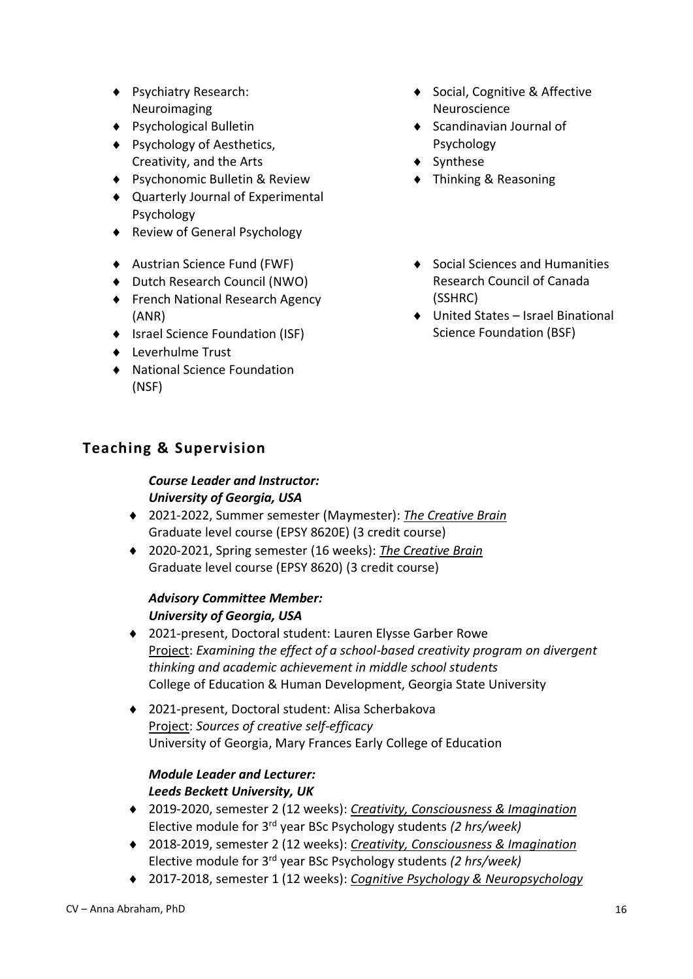- ◆ Psychiatry Research: Neuroimaging
- Psychological Bulletin
- ◆ Psychology of Aesthetics, Creativity, and the Arts
- ◆ Psychonomic Bulletin & Review
- Quarterly Journal of Experimental Psychology
- ◆ Review of General Psychology
- Austrian Science Fund (FWF)
- ◆ Dutch Research Council (NWO)
- ◆ French National Research Agency (ANR)
- ◆ Israel Science Foundation (ISF)
- ◆ Leverhulme Trust
- National Science Foundation (NSF)
- ◆ Social, Cognitive & Affective Neuroscience
- ◆ Scandinavian Journal of Psychology
- ◆ Synthese
- Thinking & Reasoning
- ◆ Social Sciences and Humanities Research Council of Canada (SSHRC)
- United States Israel Binational Science Foundation (BSF)

## **Teaching & Supervision**

### *Course Leader and Instructor: University of Georgia, USA*

- 2021-2022, Summer semester (Maymester): *The Creative Brain* Graduate level course (EPSY 8620E) (3 credit course)
- 2020-2021, Spring semester (16 weeks): *The Creative Brain* Graduate level course (EPSY 8620) (3 credit course)

### *Advisory Committee Member: University of Georgia, USA*

- 2021-present, Doctoral student: Lauren Elysse Garber Rowe Project: *Examining the effect of a school-based creativity program on divergent thinking and academic achievement in middle school students* College of Education & Human Development, Georgia State University
- ◆ 2021-present, Doctoral student: Alisa Scherbakova Project: *Sources of creative self-efficacy* University of Georgia, Mary Frances Early College of Education

### *Module Leader and Lecturer: Leeds Beckett University, UK*

- 2019-2020, semester 2 (12 weeks): *Creativity, Consciousness & Imagination* Elective module for 3rd year BSc Psychology students *(2 hrs/week)*
- 2018-2019, semester 2 (12 weeks): *Creativity, Consciousness & Imagination* Elective module for 3rd year BSc Psychology students *(2 hrs/week)*
- 2017-2018, semester 1 (12 weeks): *Cognitive Psychology & Neuropsychology*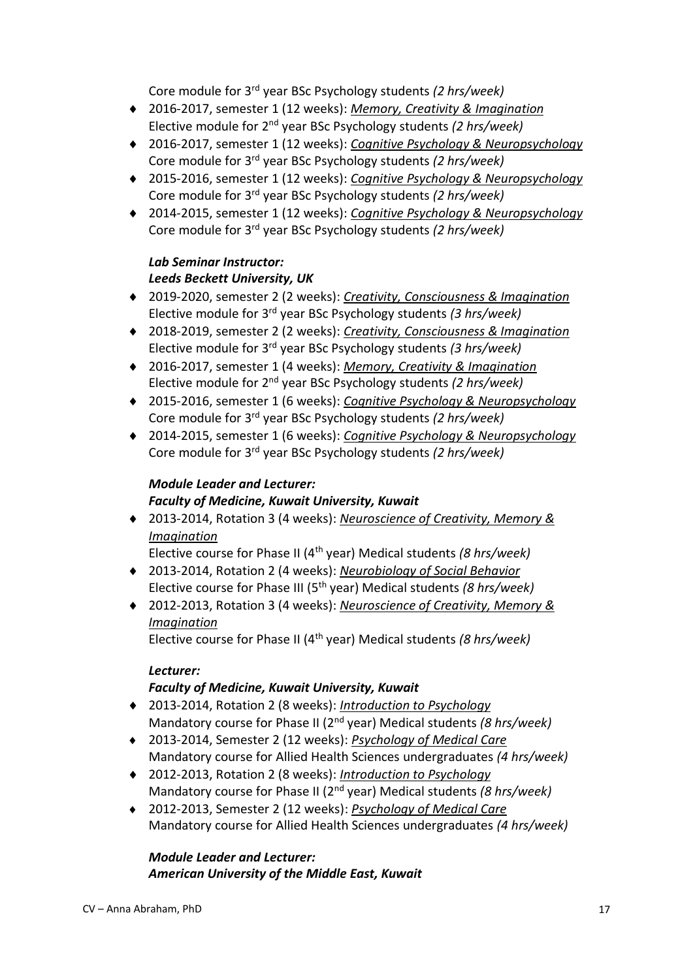Core module for 3rd year BSc Psychology students *(2 hrs/week)*

- 2016-2017, semester 1 (12 weeks): *Memory, Creativity & Imagination* Elective module for 2nd year BSc Psychology students *(2 hrs/week)*
- 2016-2017, semester 1 (12 weeks): *Cognitive Psychology & Neuropsychology* Core module for 3rd year BSc Psychology students *(2 hrs/week)*
- 2015-2016, semester 1 (12 weeks): *Cognitive Psychology & Neuropsychology* Core module for 3 rd year BSc Psychology students *(2 hrs/week)*
- 2014-2015, semester 1 (12 weeks): *Cognitive Psychology & Neuropsychology* Core module for 3 rd year BSc Psychology students *(2 hrs/week)*

### *Lab Seminar Instructor: Leeds Beckett University, UK*

- 2019-2020, semester 2 (2 weeks): *Creativity, Consciousness & Imagination* Elective module for 3rd year BSc Psychology students *(3 hrs/week)*
- 2018-2019, semester 2 (2 weeks): *Creativity, Consciousness & Imagination* Elective module for 3rd year BSc Psychology students *(3 hrs/week)*
- 2016-2017, semester 1 (4 weeks): *Memory, Creativity & Imagination* Elective module for 2nd year BSc Psychology students *(2 hrs/week)*
- 2015-2016, semester 1 (6 weeks): *Cognitive Psychology & Neuropsychology* Core module for 3 rd year BSc Psychology students *(2 hrs/week)*
- 2014-2015, semester 1 (6 weeks): *Cognitive Psychology & Neuropsychology* Core module for 3 rd year BSc Psychology students *(2 hrs/week)*

## *Module Leader and Lecturer: Faculty of Medicine, Kuwait University, Kuwait*

 2013-2014, Rotation 3 (4 weeks): *Neuroscience of Creativity, Memory & Imagination*

Elective course for Phase II (4th year) Medical students *(8 hrs/week)*

- 2013-2014, Rotation 2 (4 weeks): *Neurobiology of Social Behavior* Elective course for Phase III (5th year) Medical students *(8 hrs/week)*
- 2012-2013, Rotation 3 (4 weeks): *Neuroscience of Creativity, Memory & Imagination*

Elective course for Phase II (4th year) Medical students *(8 hrs/week)*

### *Lecturer:*

### *Faculty of Medicine, Kuwait University, Kuwait*

- 2013-2014, Rotation 2 (8 weeks): *Introduction to Psychology* Mandatory course for Phase II (2nd year) Medical students *(8 hrs/week)*
- 2013-2014, Semester 2 (12 weeks): *Psychology of Medical Care* Mandatory course for Allied Health Sciences undergraduates *(4 hrs/week)*
- 2012-2013, Rotation 2 (8 weeks): *Introduction to Psychology* Mandatory course for Phase II (2nd year) Medical students *(8 hrs/week)*
- 2012-2013, Semester 2 (12 weeks): *Psychology of Medical Care* Mandatory course for Allied Health Sciences undergraduates *(4 hrs/week)*

### *Module Leader and Lecturer: American University of the Middle East, Kuwait*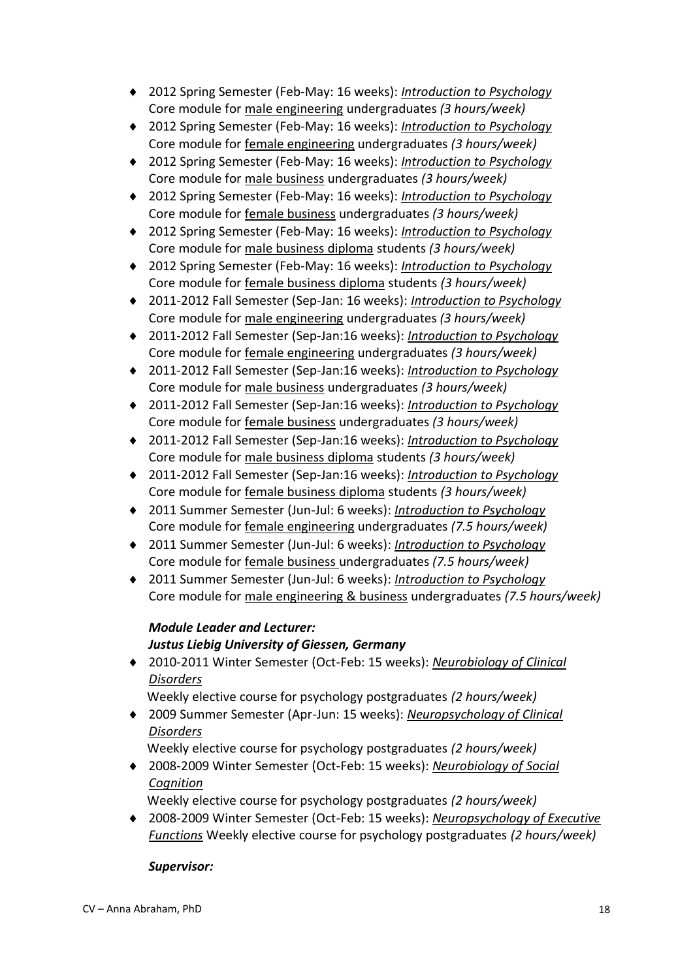- 2012 Spring Semester (Feb-May: 16 weeks): *Introduction to Psychology* Core module for male engineering undergraduates *(3 hours/week)*
- 2012 Spring Semester (Feb-May: 16 weeks): *Introduction to Psychology* Core module for female engineering undergraduates *(3 hours/week)*
- 2012 Spring Semester (Feb-May: 16 weeks): *Introduction to Psychology* Core module for male business undergraduates *(3 hours/week)*
- 2012 Spring Semester (Feb-May: 16 weeks): *Introduction to Psychology* Core module for female business undergraduates *(3 hours/week)*
- 2012 Spring Semester (Feb-May: 16 weeks): *Introduction to Psychology* Core module for male business diploma students *(3 hours/week)*
- 2012 Spring Semester (Feb-May: 16 weeks): *Introduction to Psychology* Core module for female business diploma students *(3 hours/week)*
- 2011-2012 Fall Semester (Sep-Jan: 16 weeks): *Introduction to Psychology* Core module for male engineering undergraduates *(3 hours/week)*
- 2011-2012 Fall Semester (Sep-Jan:16 weeks): *Introduction to Psychology* Core module for female engineering undergraduates *(3 hours/week)*
- 2011-2012 Fall Semester (Sep-Jan:16 weeks): *Introduction to Psychology* Core module for male business undergraduates *(3 hours/week)*
- 2011-2012 Fall Semester (Sep-Jan:16 weeks): *Introduction to Psychology* Core module for female business undergraduates *(3 hours/week)*
- 2011-2012 Fall Semester (Sep-Jan:16 weeks): *Introduction to Psychology* Core module for male business diploma students *(3 hours/week)*
- 2011-2012 Fall Semester (Sep-Jan:16 weeks): *Introduction to Psychology* Core module for female business diploma students *(3 hours/week)*
- 2011 Summer Semester (Jun-Jul: 6 weeks): *Introduction to Psychology* Core module for female engineering undergraduates *(7.5 hours/week)*
- 2011 Summer Semester (Jun-Jul: 6 weeks): *Introduction to Psychology* Core module for female business undergraduates *(7.5 hours/week)*
- 2011 Summer Semester (Jun-Jul: 6 weeks): *Introduction to Psychology* Core module for male engineering & business undergraduates *(7.5 hours/week)*

## *Module Leader and Lecturer: Justus Liebig University of Giessen, Germany*

 2010-2011 Winter Semester (Oct-Feb: 15 weeks): *Neurobiology of Clinical Disorders*

Weekly elective course for psychology postgraduates *(2 hours/week)*

- 2009 Summer Semester (Apr-Jun: 15 weeks): *Neuropsychology of Clinical Disorders*
	- Weekly elective course for psychology postgraduates *(2 hours/week)*
- 2008-2009 Winter Semester (Oct-Feb: 15 weeks): *Neurobiology of Social Cognition*

Weekly elective course for psychology postgraduates *(2 hours/week)*

 2008-2009 Winter Semester (Oct-Feb: 15 weeks): *Neuropsychology of Executive Functions* Weekly elective course for psychology postgraduates *(2 hours/week)*

## *Supervisor:*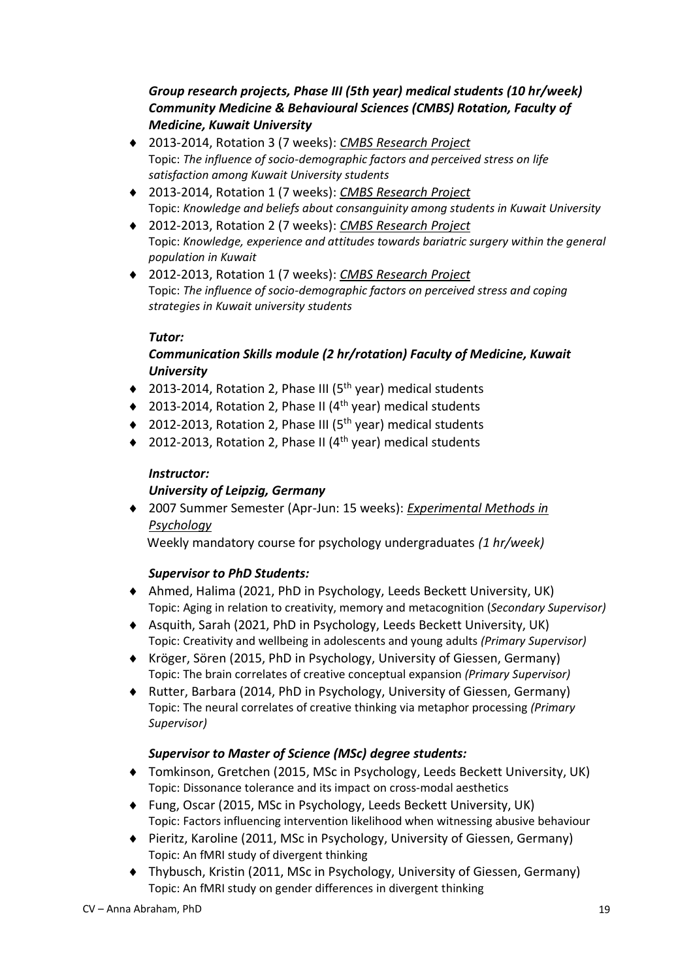#### *Group research projects, Phase III (5th year) medical students (10 hr/week) Community Medicine & Behavioural Sciences (CMBS) Rotation, Faculty of Medicine, Kuwait University*

- 2013-2014, Rotation 3 (7 weeks): *CMBS Research Project* Topic: *The influence of socio-demographic factors and perceived stress on life satisfaction among Kuwait University students*
- 2013-2014, Rotation 1 (7 weeks): *CMBS Research Project* Topic: *Knowledge and beliefs about consanguinity among students in Kuwait University*
- 2012-2013, Rotation 2 (7 weeks): *CMBS Research Project* Topic: *Knowledge, experience and attitudes towards bariatric surgery within the general population in Kuwait*
- 2012-2013, Rotation 1 (7 weeks): *CMBS Research Project* Topic: *The influence of socio-demographic factors on perceived stress and coping strategies in Kuwait university students*

#### *Tutor:*

### *Communication Skills module (2 hr/rotation) Faculty of Medicine, Kuwait University*

- $\bullet$  2013-2014, Rotation 2, Phase III (5<sup>th</sup> year) medical students
- $\bullet$  2013-2014, Rotation 2, Phase II (4<sup>th</sup> year) medical students
- $\bullet$  2012-2013, Rotation 2, Phase III (5<sup>th</sup> year) medical students
- ◆ 2012-2013, Rotation 2, Phase II (4<sup>th</sup> year) medical students

#### *Instructor:*

### *University of Leipzig, Germany*

 2007 Summer Semester (Apr-Jun: 15 weeks): *Experimental Methods in Psychology*

Weekly mandatory course for psychology undergraduates *(1 hr/week)* 

### *Supervisor to PhD Students:*

- Ahmed, Halima (2021, PhD in Psychology, Leeds Beckett University, UK) Topic: Aging in relation to creativity, memory and metacognition (*Secondary Supervisor)*
- Asquith, Sarah (2021, PhD in Psychology, Leeds Beckett University, UK) Topic: Creativity and wellbeing in adolescents and young adults *(Primary Supervisor)*
- Kröger, Sören (2015, PhD in Psychology, University of Giessen, Germany) Topic: The brain correlates of creative conceptual expansion *(Primary Supervisor)*
- Rutter, Barbara (2014, PhD in Psychology, University of Giessen, Germany) Topic: The neural correlates of creative thinking via metaphor processing *(Primary Supervisor)*

### *Supervisor to Master of Science (MSc) degree students:*

- Tomkinson, Gretchen (2015, MSc in Psychology, Leeds Beckett University, UK) Topic: Dissonance tolerance and its impact on cross-modal aesthetics
- Fung, Oscar (2015, MSc in Psychology, Leeds Beckett University, UK) Topic: Factors influencing intervention likelihood when witnessing abusive behaviour
- Pieritz, Karoline (2011, MSc in Psychology, University of Giessen, Germany) Topic: An fMRI study of divergent thinking
- Thybusch, Kristin (2011, MSc in Psychology, University of Giessen, Germany) Topic: An fMRI study on gender differences in divergent thinking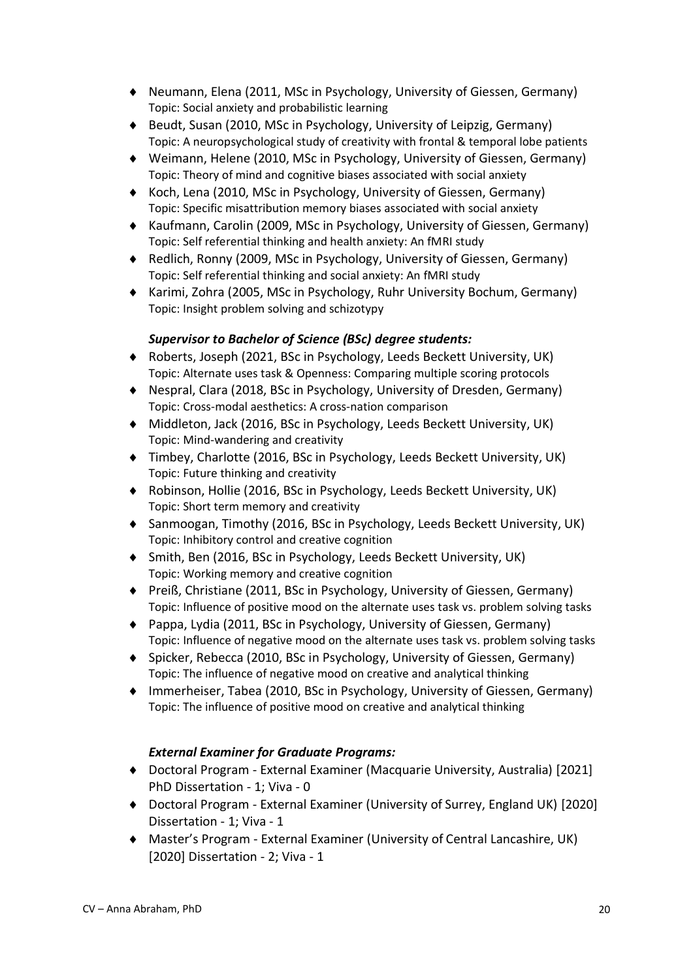- Neumann, Elena (2011, MSc in Psychology, University of Giessen, Germany) Topic: Social anxiety and probabilistic learning
- Beudt, Susan (2010, MSc in Psychology, University of Leipzig, Germany) Topic: A neuropsychological study of creativity with frontal & temporal lobe patients
- Weimann, Helene (2010, MSc in Psychology, University of Giessen, Germany) Topic: Theory of mind and cognitive biases associated with social anxiety
- ◆ Koch, Lena (2010, MSc in Psychology, University of Giessen, Germany) Topic: Specific misattribution memory biases associated with social anxiety
- ◆ Kaufmann, Carolin (2009, MSc in Psychology, University of Giessen, Germany) Topic: Self referential thinking and health anxiety: An fMRI study
- ◆ Redlich, Ronny (2009, MSc in Psychology, University of Giessen, Germany) Topic: Self referential thinking and social anxiety: An fMRI study
- ◆ Karimi, Zohra (2005, MSc in Psychology, Ruhr University Bochum, Germany) Topic: Insight problem solving and schizotypy

#### *Supervisor to Bachelor of Science (BSc) degree students:*

- Roberts, Joseph (2021, BSc in Psychology, Leeds Beckett University, UK) Topic: Alternate uses task & Openness: Comparing multiple scoring protocols
- Nespral, Clara (2018, BSc in Psychology, University of Dresden, Germany) Topic: Cross-modal aesthetics: A cross-nation comparison
- Middleton, Jack (2016, BSc in Psychology, Leeds Beckett University, UK) Topic: Mind-wandering and creativity
- Timbey, Charlotte (2016, BSc in Psychology, Leeds Beckett University, UK) Topic: Future thinking and creativity
- ◆ Robinson, Hollie (2016, BSc in Psychology, Leeds Beckett University, UK) Topic: Short term memory and creativity
- Sanmoogan, Timothy (2016, BSc in Psychology, Leeds Beckett University, UK) Topic: Inhibitory control and creative cognition
- Smith, Ben (2016, BSc in Psychology, Leeds Beckett University, UK) Topic: Working memory and creative cognition
- ◆ Preiß, Christiane (2011, BSc in Psychology, University of Giessen, Germany) Topic: Influence of positive mood on the alternate uses task vs. problem solving tasks
- ◆ Pappa, Lydia (2011, BSc in Psychology, University of Giessen, Germany) Topic: Influence of negative mood on the alternate uses task vs. problem solving tasks
- Spicker, Rebecca (2010, BSc in Psychology, University of Giessen, Germany) Topic: The influence of negative mood on creative and analytical thinking
- Immerheiser, Tabea (2010, BSc in Psychology, University of Giessen, Germany) Topic: The influence of positive mood on creative and analytical thinking

#### *External Examiner for Graduate Programs:*

- Doctoral Program External Examiner (Macquarie University, Australia) [2021] PhD Dissertation - 1; Viva - 0
- Doctoral Program External Examiner (University of Surrey, England UK) [2020] Dissertation - 1; Viva - 1
- Master's Program External Examiner (University of Central Lancashire, UK) [2020] Dissertation - 2; Viva - 1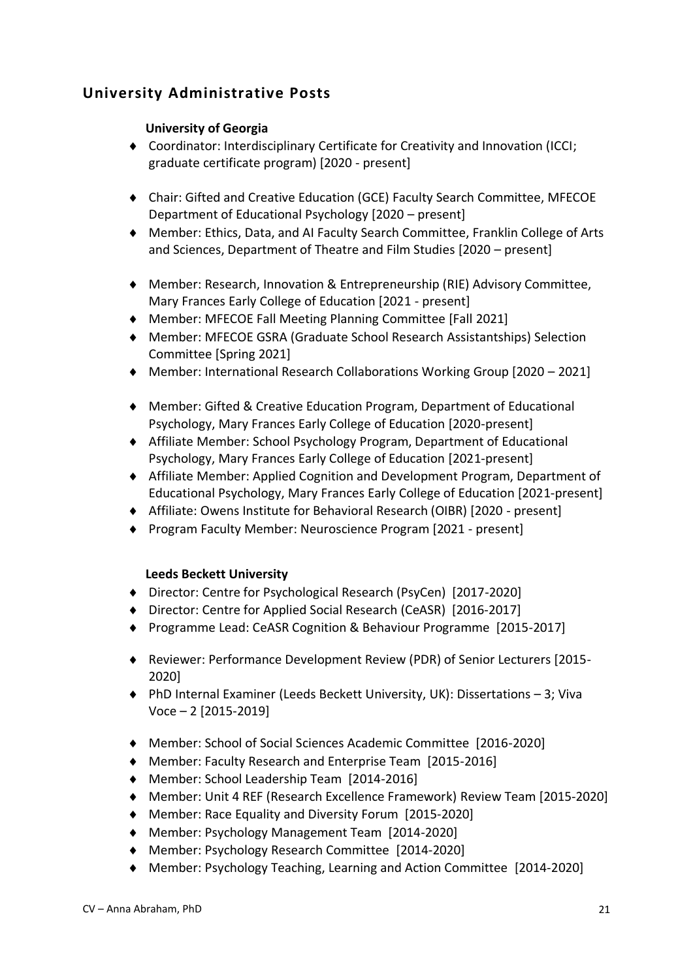## **University Administrative Posts**

#### **University of Georgia**

- Coordinator: Interdisciplinary Certificate for Creativity and Innovation (ICCI; graduate certificate program) [2020 - present]
- Chair: Gifted and Creative Education (GCE) Faculty Search Committee, MFECOE Department of Educational Psychology [2020 – present]
- Member: Ethics, Data, and AI Faculty Search Committee, Franklin College of Arts and Sciences, Department of Theatre and Film Studies [2020 – present]
- Member: Research, Innovation & Entrepreneurship (RIE) Advisory Committee, Mary Frances Early College of Education [2021 - present]
- Member: MFECOE Fall Meeting Planning Committee [Fall 2021]
- Member: MFECOE GSRA (Graduate School Research Assistantships) Selection Committee [Spring 2021]
- ◆ Member: International Research Collaborations Working Group [2020 2021]
- Member: Gifted & Creative Education Program, Department of Educational Psychology, Mary Frances Early College of Education [2020-present]
- Affiliate Member: School Psychology Program, Department of Educational Psychology, Mary Frances Early College of Education [2021-present]
- Affiliate Member: Applied Cognition and Development Program, Department of Educational Psychology, Mary Frances Early College of Education [2021-present]
- Affiliate: Owens Institute for Behavioral Research (OIBR) [2020 present]
- ◆ Program Faculty Member: Neuroscience Program [2021 present]

#### **Leeds Beckett University**

- ◆ Director: Centre for Psychological Research (PsyCen) [2017-2020]
- ◆ Director: Centre for Applied Social Research (CeASR) [2016-2017]
- ◆ Programme Lead: CeASR Cognition & Behaviour Programme [2015-2017]
- Reviewer: Performance Development Review (PDR) of Senior Lecturers [2015- 2020]
- PhD Internal Examiner (Leeds Beckett University, UK): Dissertations 3; Viva Voce – 2 [2015-2019]
- Member: School of Social Sciences Academic Committee [2016-2020]
- Member: Faculty Research and Enterprise Team [2015-2016]
- ◆ Member: School Leadership Team [2014-2016]
- Member: Unit 4 REF (Research Excellence Framework) Review Team [2015-2020]
- Member: Race Equality and Diversity Forum [2015-2020]
- Member: Psychology Management Team [2014-2020]
- Member: Psychology Research Committee [2014-2020]
- Member: Psychology Teaching, Learning and Action Committee [2014-2020]